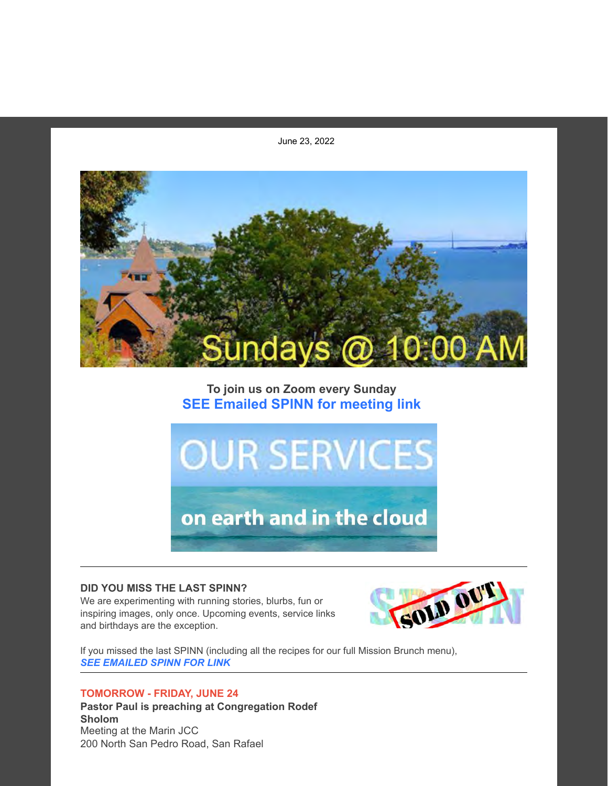June 23, 2022



# **To join us on Zoom every Sunday SEE Emailed SPINN for meeting link**



### **DID YOU MISS THE LAST SPINN?**

We are experimenting with running stories, blurbs, fun or inspiring images, only once. Upcoming events, service links and birthdays are the exception.



If you missed the last SPINN (including all the recipes for our full Mission Brunch menu), *SEE EMAILED SPINN FOR LINK*

# **TOMORROW - FRIDAY, JUNE 24**

**Pastor Paul is preaching at Congregation Rodef Sholom** Meeting at the Marin JCC 200 North San Pedro Road, San Rafael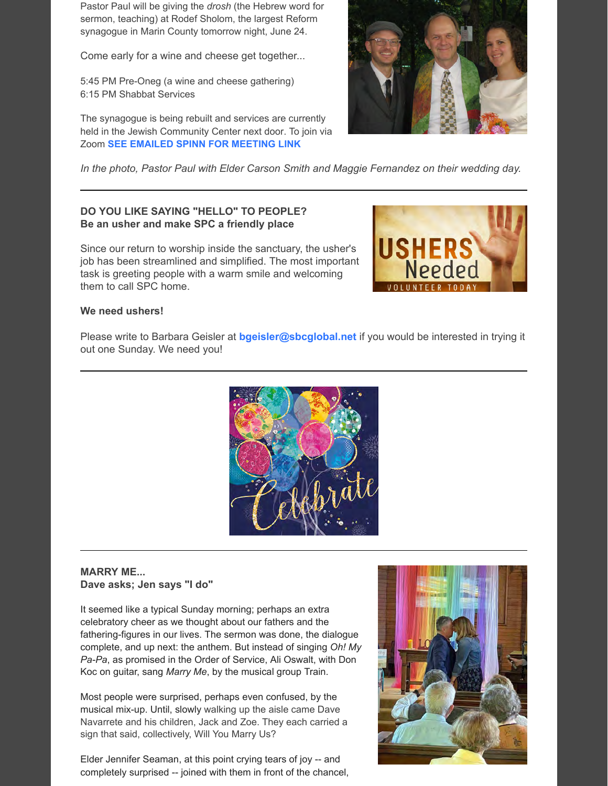Pastor Paul will be giving the *drosh* (the Hebrew word for sermon, teaching) at Rodef Sholom, the largest Reform synagogue in Marin County tomorrow night, June 24.

Come early for a wine and cheese get together...

5:45 PM Pre-Oneg (a wine and cheese gathering) 6:15 PM Shabbat Services

The synagogue is being rebuilt and services are currently held in the Jewish Community Center next door. To join via Zoom **SEE EMAILED SPINN FOR MEETING LINK**



*In the photo, Pastor Paul with Elder Carson Smith and Maggie Fernandez on their wedding day.*

# **DO YOU LIKE SAYING "HELLO" TO PEOPLE? Be an usher and make SPC a friendly place**

Since our return to worship inside the sanctuary, the usher's job has been streamlined and simplified. The most important task is greeting people with a warm smile and welcoming them to call SPC home.



# **We need ushers!**

Please write to Barbara Geisler at **[bgeisler@sbcglobal.net](mailto:bgeisler@sbcglobal.net)** if you would be interested in trying it out one Sunday. We need you!



#### **MARRY ME... Dave asks; Jen says "I do"**

It seemed like a typical Sunday morning; perhaps an extra celebratory cheer as we thought about our fathers and the fathering-figures in our lives. The sermon was done, the dialogue complete, and up next: the anthem. But instead of singing *Oh! My Pa-Pa*, as promised in the Order of Service, Ali Oswalt, with Don Koc on guitar, sang *Marry Me*, by the musical group Train.

Most people were surprised, perhaps even confused, by the musical mix-up. Until, slowly walking up the aisle came Dave Navarrete and his children, Jack and Zoe. They each carried a sign that said, collectively, Will You Marry Us?

Elder Jennifer Seaman, at this point crying tears of joy -- and completely surprised -- joined with them in front of the chancel,

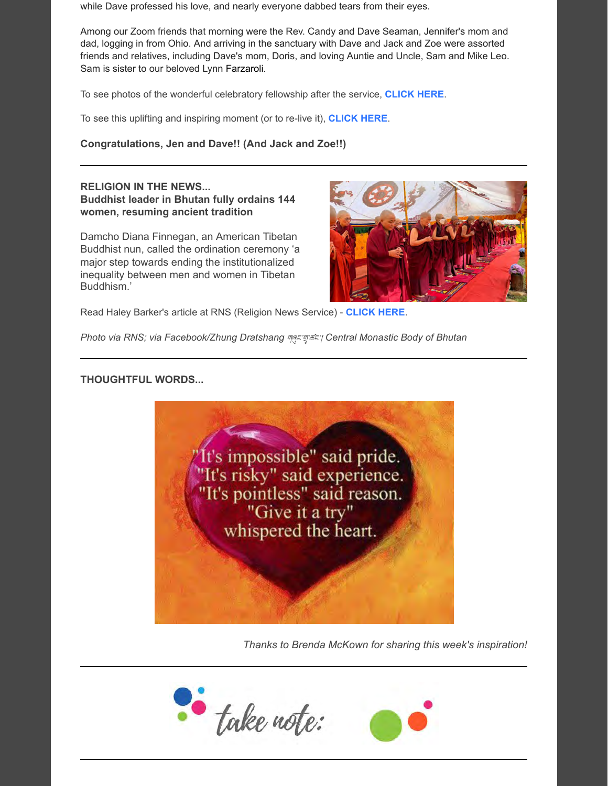while Dave professed his love, and nearly everyone dabbed tears from their eyes.

Among our Zoom friends that morning were the Rev. Candy and Dave Seaman, Jennifer's mom and dad, logging in from Ohio. And arriving in the sanctuary with Dave and Jack and Zoe were assorted friends and relatives, including Dave's mom, Doris, and loving Auntie and Uncle, Sam and Mike Leo. Sam is sister to our beloved Lynn Farzaroli.

To see photos of the wonderful celebratory fellowship after the service, **[CLICK HERE](https://sausalitopres.org/)**.

To see this uplifting and inspiring moment (or to re-live it), **[CLICK HERE](https://www.youtube.com/watch?v=7P2R7i37neA&t=2998s)**.

# **Congratulations, Jen and Dave!! (And Jack and Zoe!!)**

# **RELIGION IN THE NEWS... Buddhist leader in Bhutan fully ordains 144 women, resuming ancient tradition**

Damcho Diana Finnegan, an American Tibetan Buddhist nun, called the ordination ceremony 'a major step towards ending the institutionalized inequality between men and women in Tibetan Buddhism.'



Read Haley Barker's article at RNS (Religion News Service) - **[CLICK HERE](https://religionnews.com/2022/06/21/buddhist-leader-in-bhutan-fully-ordains-144-women-resuming-ancient-tradition/)**.

*Photo via RNS; via Facebook/Zhung Dratshang* གཞུང་གྲྭ་ཚང་། *Central Monastic Body of Bhutan*

# **THOUGHTFUL WORDS...**



*Thanks to Brenda McKown for sharing this week's inspiration!*

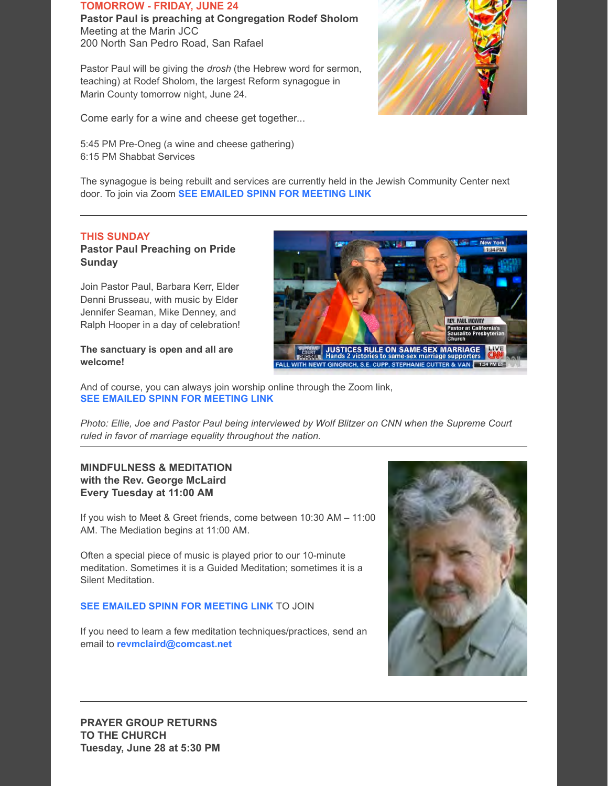#### **TOMORROW - FRIDAY, JUNE 24**

**Pastor Paul is preaching at Congregation Rodef Sholom** Meeting at the Marin JCC 200 North San Pedro Road, San Rafael

Pastor Paul will be giving the *drosh* (the Hebrew word for sermon, teaching) at Rodef Sholom, the largest Reform synagogue in Marin County tomorrow night, June 24.



Come early for a wine and cheese get together...

5:45 PM Pre-Oneg (a wine and cheese gathering) 6:15 PM Shabbat Services

The synagogue is being rebuilt and services are currently held in the Jewish Community Center next door. To join via Zoom **SEE EMAILED SPINN FOR MEETING LINK**

#### **THIS SUNDAY**

# **Pastor Paul Preaching on Pride Sunday**

Join Pastor Paul, Barbara Kerr, Elder Denni Brusseau, with music by Elder Jennifer Seaman, Mike Denney, and Ralph Hooper in a day of celebration!

### **The sanctuary is open and all are welcome!**



And of course, you can always join worship online through the Zoom link, **SEE EMAILED SPINN FOR MEETING LINK**

*Photo: Ellie, Joe and Pastor Paul being interviewed by Wolf Blitzer on CNN when the Supreme Court ruled in favor of marriage equality throughout the nation.*

# **MINDFULNESS & MEDITATION with the Rev. George McLaird Every Tuesday at 11:00 AM**

If you wish to Meet & Greet friends, come between 10:30 AM – 11:00 AM. The Mediation begins at 11:00 AM.

Often a special piece of music is played prior to our 10-minute meditation. Sometimes it is a Guided Meditation; sometimes it is a Silent Meditation.

# **[SEE EMAILED SPINN FOR MEETING LINK](https://us02web.zoom.us/j/86119543242?pwd=dTJoaFZRaHFpTGhrK0l6b1lmRldEUT09)** TO JOIN

If you need to learn a few meditation techniques/practices, send an email to **[revmclaird@comcast.net](mailto:revmclaird@comcast.net)**

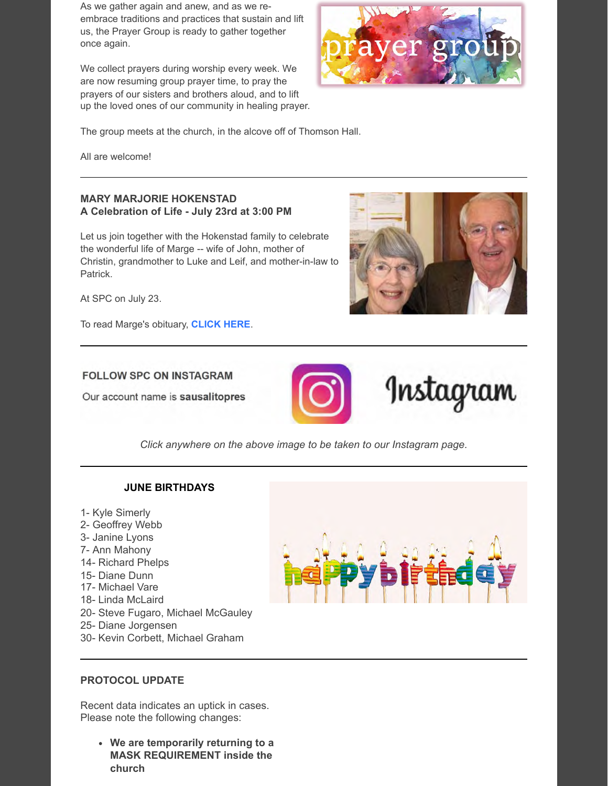As we gather again and anew, and as we reembrace traditions and practices that sustain and lift us, the Prayer Group is ready to gather together once again.

We collect prayers during worship every week. We are now resuming group prayer time, to pray the prayers of our sisters and brothers aloud, and to lift up the loved ones of our community in healing prayer.



The group meets at the church, in the alcove off of Thomson Hall.

All are welcome!

# **MARY MARJORIE HOKENSTAD A Celebration of Life - July 23rd at 3:00 PM**

Let us join together with the Hokenstad family to celebrate the wonderful life of Marge -- wife of John, mother of Christin, grandmother to Luke and Leif, and mother-in-law to Patrick.

At SPC on July 23.

To read Marge's obituary, **[CLICK HERE](https://myemail.constantcontact.com/SPINN---SPC-News-This-Week.html?soid=1104301294985&aid=dbjI2Vl6-r8)**.



Instagram

# **FOLLOW SPC ON INSTAGRAM**

Our account name is sausalitopres



*Click anywhere on the above image to be taken to our Instagram page.*

# **JUNE BIRTHDAYS**

- 1- Kyle Simerly
- 2- Geoffrey Webb
- 3- Janine Lyons
- 7- Ann Mahony
- 14- Richard Phelps
- 15- Diane Dunn
- 17- Michael Vare
- 18- Linda McLaird
- 20- Steve Fugaro, Michael McGauley
- 25- Diane Jorgensen
- 30- Kevin Corbett, Michael Graham



# **PROTOCOL UPDATE**

Recent data indicates an uptick in cases. Please note the following changes:

**We are temporarily returning to a MASK REQUIREMENT inside the church**